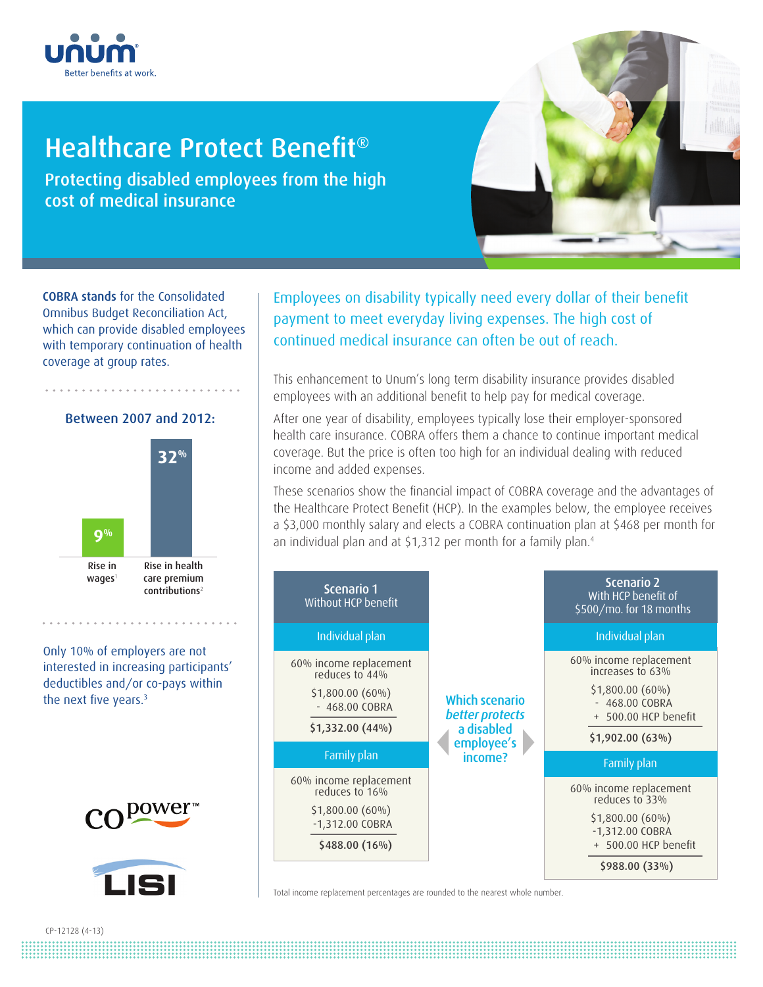

## Healthcare Protect Benefit<sup>®</sup>

Protecting disabled employees from the high cost of medical insurance

COBRA stands for the Consolidated Omnibus Budget Reconciliation Act, which can provide disabled employees with temporary continuation of health coverage at group rates.





Only 10% of employers are not interested in increasing participants' deductibles and/or co-pays within the next five years.<sup>3</sup>





Employees on disability typically need every dollar of their benefit payment to meet everyday living expenses. The high cost of continued medical insurance can often be out of reach.

This enhancement to Unum's long term disability insurance provides disabled employees with an additional benefit to help pay for medical coverage.

After one year of disability, employees typically lose their employer-sponsored health care insurance. COBRA offers them a chance to continue important medical coverage. But the price is often too high for an individual dealing with reduced income and added expenses.

These scenarios show the financial impact of COBRA coverage and the advantages of the Healthcare Protect Benefit (HCP). In the examples below, the employee receives a \$3,000 monthly salary and elects a COBRA continuation plan at \$468 per month for an individual plan and at \$1,312 per month for a family plan.<sup>4</sup>



Total income replacement percentages are rounded to the nearest whole number.